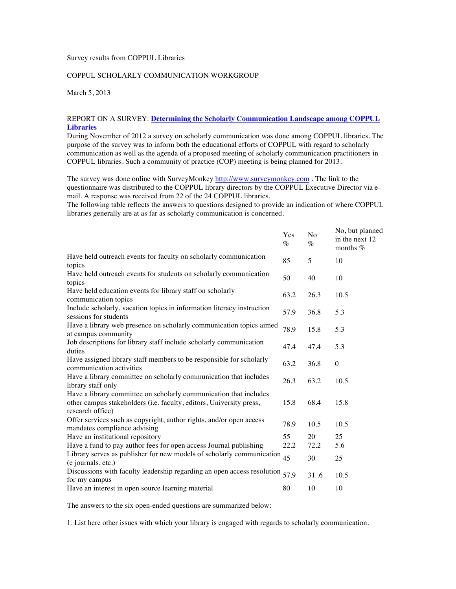## Survey results from COPPUL Libraries

## COPPUL SCHOLARLY COMMUNICATION WORKGROUP

March 5, 2013

## REPORT ON A SURVEY: **Determining the Scholarly Communication Landscape among COPPUL Libraries**

During November of 2012 a survey on scholarly communication was done among COPPUL libraries. The purpose of the survey was to inform both the educational efforts of COPPUL with regard to scholarly communication as well as the agenda of a proposed meeting of scholarly communication practitioners in COPPUL libraries. Such a community of practice (COP) meeting is being planned for 2013.

The survey was done online with SurveyMonkey http://www.surveymonkey.com. The link to the questionnaire was distributed to the COPPUL library directors by the COPPUL Executive Director via email. A response was received from 22 of the 24 COPPUL libraries.

The following table reflects the answers to questions designed to provide an indication of where COPPUL libraries generally are at as far as scholarly communication is concerned.

|                                                                                                                                                              | Yes<br>$\%$ | N <sub>o</sub><br>$\%$ | No, but planned<br>in the next 12<br>months $%$ |
|--------------------------------------------------------------------------------------------------------------------------------------------------------------|-------------|------------------------|-------------------------------------------------|
| Have held outreach events for faculty on scholarly communication<br>topics                                                                                   | 85          | 5                      | 10                                              |
| Have held outreach events for students on scholarly communication<br>topics                                                                                  | 50          | 40                     | 10                                              |
| Have held education events for library staff on scholarly<br>communication topics                                                                            | 63.2        | 26.3                   | 10.5                                            |
| Include scholarly, vacation topics in information literacy instruction<br>sessions for students                                                              | 57.9        | 36.8                   | 5.3                                             |
| Have a library web presence on scholarly communication topics aimed<br>at campus community                                                                   | 78.9        | 15.8                   | 5.3                                             |
| Job descriptions for library staff include scholarly communication<br>duties                                                                                 | 47.4        | 47.4                   | 5.3                                             |
| Have assigned library staff members to be responsible for scholarly<br>communication activities                                                              | 63.2        | 36.8                   | $\mathbf{0}$                                    |
| Have a library committee on scholarly communication that includes<br>library staff only                                                                      | 26.3        | 63.2                   | 10.5                                            |
| Have a library committee on scholarly communication that includes<br>other campus stakeholders (i.e. faculty, editors, University press,<br>research office) | 15.8        | 68.4                   | 15.8                                            |
| Offer services such as copyright, author rights, and/or open access<br>mandates compliance advising                                                          | 78.9        | 10.5                   | 10.5                                            |
| Have an institutional repository                                                                                                                             | 55          | 20                     | 25                                              |
| Have a fund to pay author fees for open access Journal publishing                                                                                            | 22.2        | 72.2                   | 5.6                                             |
| Library serves as publisher for new models of scholarly communication $45$<br>(e journals, etc.)                                                             |             | 30                     | 25                                              |
| Discussions with faculty leadership regarding an open access resolution<br>for my campus                                                                     | 57.9        | 31.6                   | 10.5                                            |
| Have an interest in open source learning material                                                                                                            | 80          | 10                     | 10                                              |

The answers to the six open-ended questions are summarized below:

1. List here other issues with which your library is engaged with regards to scholarly communication.